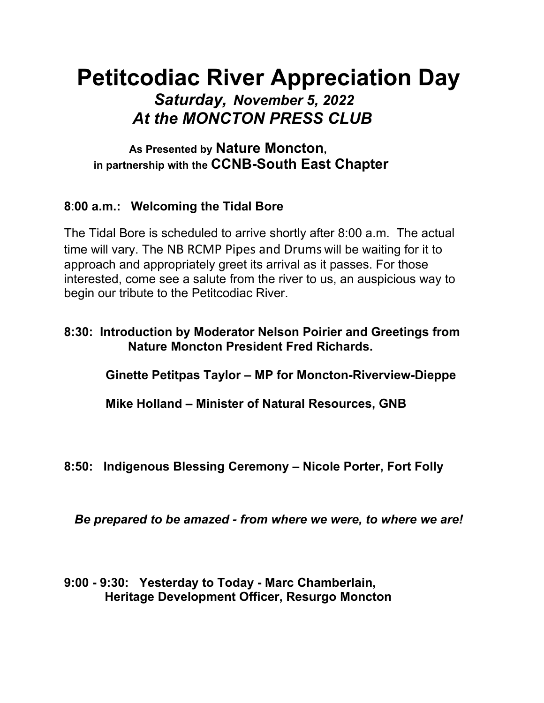# **Petitcodiac River Appreciation Day** *Saturday, November 5, 2022 At the MONCTON PRESS CLUB*

 **As Presented by Nature Moncton, in partnership with the CCNB-South East Chapter**

# **8**:**00 a.m.: Welcoming the Tidal Bore**

The Tidal Bore is scheduled to arrive shortly after 8:00 a.m. The actual time will vary. The NB RCMP Pipes and Drums will be waiting for it to approach and appropriately greet its arrival as it passes. For those interested, come see a salute from the river to us, an auspicious way to begin our tribute to the Petitcodiac River.

## **8:30: Introduction by Moderator Nelson Poirier and Greetings from Nature Moncton President Fred Richards.**

 **Ginette Petitpas Taylor – MP for Moncton-Riverview-Dieppe**

 **Mike Holland – Minister of Natural Resources, GNB**

**8:50: Indigenous Blessing Ceremony – Nicole Porter, Fort Folly**

 *Be prepared to be amazed - from where we were, to where we are!*

**9:00 - 9:30: Yesterday to Today - Marc Chamberlain, Heritage Development Officer, Resurgo Moncton**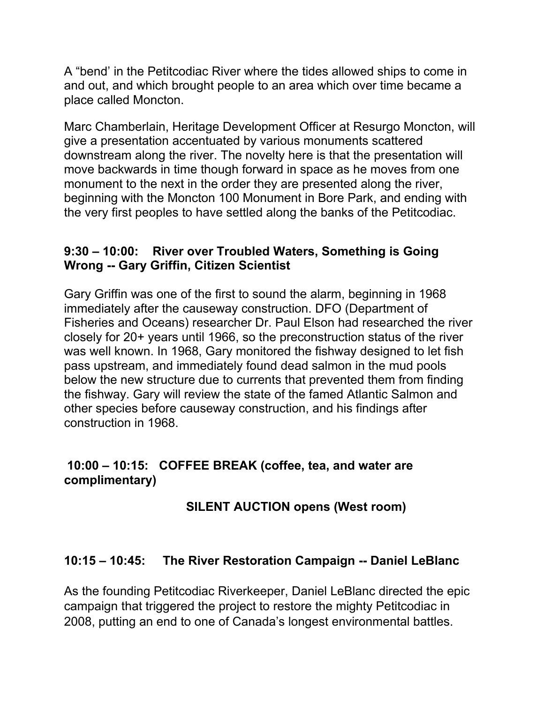A "bend' in the Petitcodiac River where the tides allowed ships to come in and out, and which brought people to an area which over time became a place called Moncton.

Marc Chamberlain, Heritage Development Officer at Resurgo Moncton, will give a presentation accentuated by various monuments scattered downstream along the river. The novelty here is that the presentation will move backwards in time though forward in space as he moves from one monument to the next in the order they are presented along the river, beginning with the Moncton 100 Monument in Bore Park, and ending with the very first peoples to have settled along the banks of the Petitcodiac.

#### **9:30 – 10:00: River over Troubled Waters, Something is Going Wrong -- Gary Griffin, Citizen Scientist**

Gary Griffin was one of the first to sound the alarm, beginning in 1968 immediately after the causeway construction. DFO (Department of Fisheries and Oceans) researcher Dr. Paul Elson had researched the river closely for 20+ years until 1966, so the preconstruction status of the river was well known. In 1968, Gary monitored the fishway designed to let fish pass upstream, and immediately found dead salmon in the mud pools below the new structure due to currents that prevented them from finding the fishway. Gary will review the state of the famed Atlantic Salmon and other species before causeway construction, and his findings after construction in 1968.

# **10:00 – 10:15: COFFEE BREAK (coffee, tea, and water are complimentary)**

# **SILENT AUCTION opens (West room)**

#### **10:15 – 10:45: The River Restoration Campaign -- Daniel LeBlanc**

As the founding Petitcodiac Riverkeeper, Daniel LeBlanc directed the epic campaign that triggered the project to restore the mighty Petitcodiac in 2008, putting an end to one of Canada's longest environmental battles.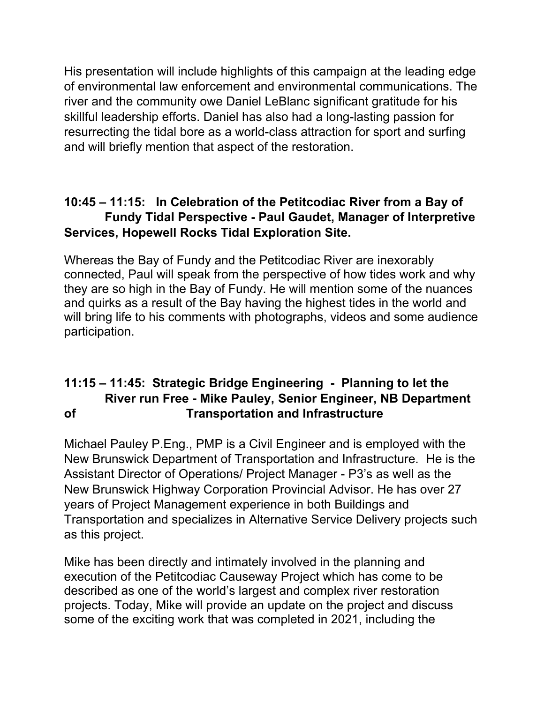His presentation will include highlights of this campaign at the leading edge of environmental law enforcement and environmental communications. The river and the community owe Daniel LeBlanc significant gratitude for his skillful leadership efforts. Daniel has also had a long-lasting passion for resurrecting the tidal bore as a world-class attraction for sport and surfing and will briefly mention that aspect of the restoration.

# **10:45 – 11:15: In Celebration of the Petitcodiac River from a Bay of Fundy Tidal Perspective - Paul Gaudet, Manager of Interpretive Services, Hopewell Rocks Tidal Exploration Site.**

Whereas the Bay of Fundy and the Petitcodiac River are inexorably connected, Paul will speak from the perspective of how tides work and why they are so high in the Bay of Fundy. He will mention some of the nuances and quirks as a result of the Bay having the highest tides in the world and will bring life to his comments with photographs, videos and some audience participation.

# **11:15 – 11:45: Strategic Bridge Engineering - Planning to let the River run Free - Mike Pauley, Senior Engineer, NB Department of Transportation and Infrastructure**

Michael Pauley P.Eng., PMP is a Civil Engineer and is employed with the New Brunswick Department of Transportation and Infrastructure. He is the Assistant Director of Operations/ Project Manager - P3's as well as the New Brunswick Highway Corporation Provincial Advisor. He has over 27 years of Project Management experience in both Buildings and Transportation and specializes in Alternative Service Delivery projects such as this project.

Mike has been directly and intimately involved in the planning and execution of the Petitcodiac Causeway Project which has come to be described as one of the world's largest and complex river restoration projects. Today, Mike will provide an update on the project and discuss some of the exciting work that was completed in 2021, including the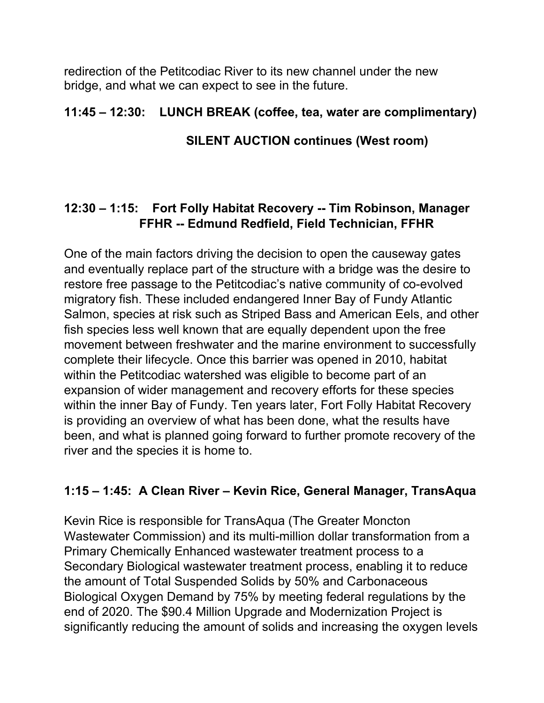redirection of the Petitcodiac River to its new channel under the new bridge, and what we can expect to see in the future.

## **11:45 – 12:30: LUNCH BREAK (coffee, tea, water are complimentary)**

#### **SILENT AUCTION continues (West room)**

# **12:30 – 1:15: Fort Folly Habitat Recovery -- Tim Robinson, Manager FFHR -- Edmund Redfield, Field Technician, FFHR**

One of the main factors driving the decision to open the causeway gates and eventually replace part of the structure with a bridge was the desire to restore free passage to the Petitcodiac's native community of co-evolved migratory fish. These included endangered Inner Bay of Fundy Atlantic Salmon, species at risk such as Striped Bass and American Eels, and other fish species less well known that are equally dependent upon the free movement between freshwater and the marine environment to successfully complete their lifecycle. Once this barrier was opened in 2010, habitat within the Petitcodiac watershed was eligible to become part of an expansion of wider management and recovery efforts for these species within the inner Bay of Fundy. Ten years later, Fort Folly Habitat Recovery is providing an overview of what has been done, what the results have been, and what is planned going forward to further promote recovery of the river and the species it is home to.

# **1:15 – 1:45: A Clean River – Kevin Rice, General Manager, TransAqua**

Kevin Rice is responsible for TransAqua (The Greater Moncton Wastewater Commission) and its multi-million dollar transformation from a Primary Chemically Enhanced wastewater treatment process to a Secondary Biological wastewater treatment process, enabling it to reduce the amount of Total Suspended Solids by 50% and Carbonaceous Biological Oxygen Demand by 75% by meeting federal regulations by the end of 2020. The \$90.4 Million Upgrade and Modernization Project is significantly reducing the amount of solids and increasing the oxygen levels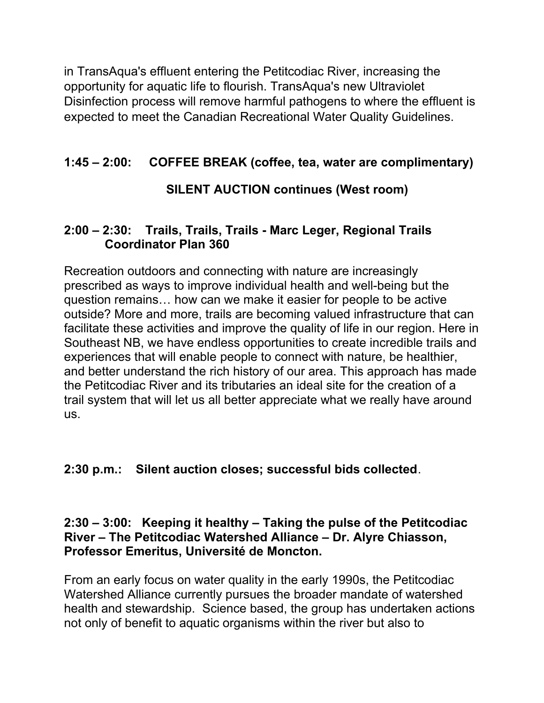in TransAqua's effluent entering the Petitcodiac River, increasing the opportunity for aquatic life to flourish. TransAqua's new Ultraviolet Disinfection process will remove harmful pathogens to where the effluent is expected to meet the Canadian Recreational Water Quality Guidelines.

# **1:45 – 2:00: COFFEE BREAK (coffee, tea, water are complimentary)**

# **SILENT AUCTION continues (West room)**

# **2:00 – 2:30: Trails, Trails, Trails - Marc Leger, Regional Trails Coordinator Plan 360**

Recreation outdoors and connecting with nature are increasingly prescribed as ways to improve individual health and well-being but the question remains… how can we make it easier for people to be active outside? More and more, trails are becoming valued infrastructure that can facilitate these activities and improve the quality of life in our region. Here in Southeast NB, we have endless opportunities to create incredible trails and experiences that will enable people to connect with nature, be healthier, and better understand the rich history of our area. This approach has made the Petitcodiac River and its tributaries an ideal site for the creation of a trail system that will let us all better appreciate what we really have around us.

# **2:30 p.m.: Silent auction closes; successful bids collected**.

#### **2:30 – 3:00: Keeping it healthy – Taking the pulse of the Petitcodiac River – The Petitcodiac Watershed Alliance – Dr. Alyre Chiasson, Professor Emeritus, Université de Moncton.**

From an early focus on water quality in the early 1990s, the Petitcodiac Watershed Alliance currently pursues the broader mandate of watershed health and stewardship. Science based, the group has undertaken actions not only of benefit to aquatic organisms within the river but also to